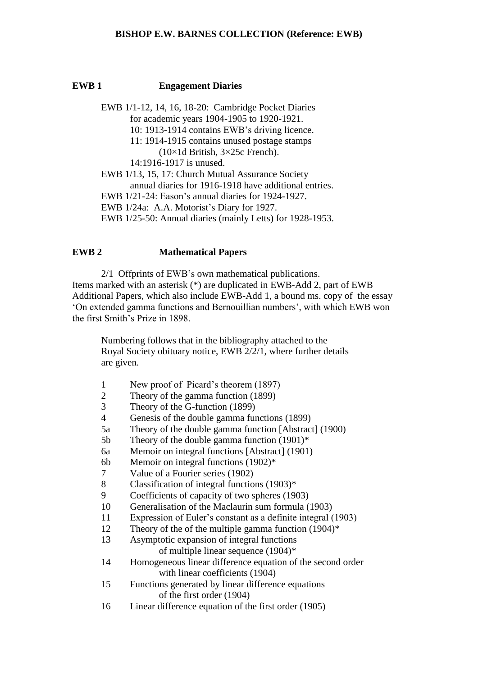## **EWB 1 Engagement Diaries**

EWB 1/1-12, 14, 16, 18-20: Cambridge Pocket Diaries for academic years 1904-1905 to 1920-1921. 10: 1913-1914 contains EWB's driving licence. 11: 1914-1915 contains unused postage stamps (10×1d British, 3×25c French). 14:1916-1917 is unused. EWB 1/13, 15, 17: Church Mutual Assurance Society annual diaries for 1916-1918 have additional entries. EWB 1/21-24: Eason's annual diaries for 1924-1927. EWB 1/24a: A.A. Motorist's Diary for 1927. EWB 1/25-50: Annual diaries (mainly Letts) for 1928-1953.

# **EWB 2 Mathematical Papers**

2/1 Offprints of EWB's own mathematical publications. Items marked with an asterisk (\*) are duplicated in EWB-Add 2, part of EWB Additional Papers, which also include EWB-Add 1, a bound ms. copy of the essay 'On extended gamma functions and Bernouillian numbers', with which EWB won the first Smith's Prize in 1898.

Numbering follows that in the bibliography attached to the Royal Society obituary notice, EWB 2/2/1, where further details are given.

- 1 New proof of Picard's theorem (1897)
- 2 Theory of the gamma function (1899)
- 3 Theory of the G-function (1899)
- 4 Genesis of the double gamma functions (1899)
- 5a Theory of the double gamma function [Abstract] (1900)
- 5b Theory of the double gamma function (1901)\*
- 6a Memoir on integral functions [Abstract] (1901)
- 6b Memoir on integral functions (1902)\*
- 7 Value of a Fourier series (1902)
- 8 Classification of integral functions (1903)\*
- 9 Coefficients of capacity of two spheres (1903)
- 10 Generalisation of the Maclaurin sum formula (1903)
- 11 Expression of Euler's constant as a definite integral (1903)
- 12 Theory of the of the multiple gamma function (1904)\*
- 13 Asymptotic expansion of integral functions
	- of multiple linear sequence (1904)\*
- 14 Homogeneous linear difference equation of the second order with linear coefficients (1904)
- 15 Functions generated by linear difference equations of the first order (1904)
- 16 Linear difference equation of the first order (1905)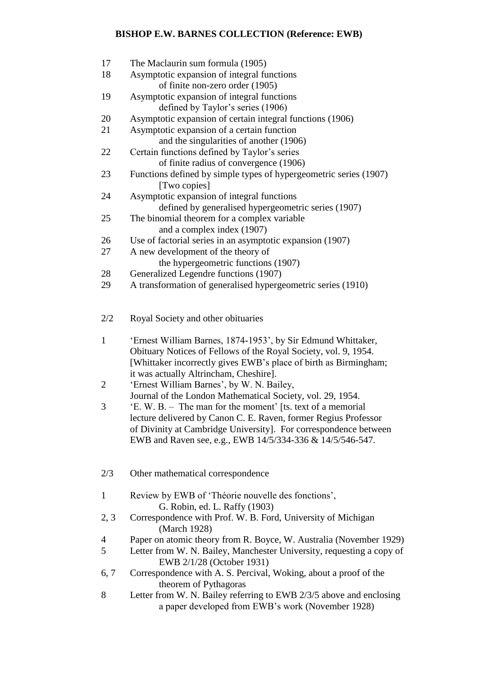| 17             | The Maclaurin sum formula (1905)                                                        |
|----------------|-----------------------------------------------------------------------------------------|
| 18             | Asymptotic expansion of integral functions                                              |
|                | of finite non-zero order (1905)                                                         |
| 19             | Asymptotic expansion of integral functions                                              |
|                | defined by Taylor's series (1906)                                                       |
| 20             | Asymptotic expansion of certain integral functions (1906)                               |
| 21             | Asymptotic expansion of a certain function                                              |
|                | and the singularities of another (1906)                                                 |
| 22             | Certain functions defined by Taylor's series                                            |
|                | of finite radius of convergence (1906)                                                  |
| 23             | Functions defined by simple types of hypergeometric series (1907)                       |
|                | [Two copies]                                                                            |
| 24             | Asymptotic expansion of integral functions                                              |
|                | defined by generalised hypergeometric series (1907)                                     |
| 25             | The binomial theorem for a complex variable                                             |
| 26             | and a complex index (1907)<br>Use of factorial series in an asymptotic expansion (1907) |
| 27             | A new development of the theory of                                                      |
|                | the hypergeometric functions (1907)                                                     |
| 28             | Generalized Legendre functions (1907)                                                   |
| 29             | A transformation of generalised hypergeometric series (1910)                            |
|                |                                                                                         |
| 2/2            | Royal Society and other obituaries                                                      |
|                |                                                                                         |
| $\mathbf{1}$   | 'Ernest William Barnes, 1874-1953', by Sir Edmund Whittaker,                            |
|                | Obituary Notices of Fellows of the Royal Society, vol. 9, 1954.                         |
|                | [Whittaker incorrectly gives EWB's place of birth as Birmingham;                        |
|                | it was actually Altrincham, Cheshire].                                                  |
| $\overline{2}$ | 'Ernest William Barnes', by W. N. Bailey,                                               |
|                | Journal of the London Mathematical Society, vol. 29, 1954.                              |
| 3              | 'E. W. B. – The man for the moment' [ts. text of a memorial                             |
|                | lecture delivered by Canon C. E. Raven, former Regius Professor                         |
|                | of Divinity at Cambridge University]. For correspondence between                        |
|                | EWB and Raven see, e.g., EWB 14/5/334-336 & 14/5/546-547.                               |
| 2/3            | Other mathematical correspondence                                                       |
|                |                                                                                         |

- 1 Review by EWB of 'Théorie nouvelle des fonctions', G. Robin, ed. L. Raffy (1903)
- 2, 3 Correspondence with Prof. W. B. Ford, University of Michigan (March 1928)
- 4 Paper on atomic theory from R. Boyce, W. Australia (November 1929)
- 5 Letter from W. N. Bailey, Manchester University, requesting a copy of EWB 2/1/28 (October 1931)
- 6, 7 Correspondence with A. S. Percival, Woking, about a proof of the theorem of Pythagoras
- 8 Letter from W. N. Bailey referring to EWB 2/3/5 above and enclosing a paper developed from EWB's work (November 1928)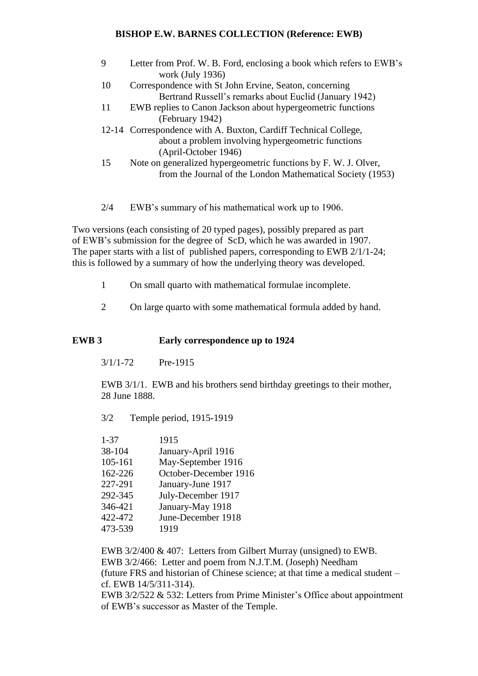| 9   | Letter from Prof. W. B. Ford, enclosing a book which refers to EWB's<br>work (July 1936)                                                      |
|-----|-----------------------------------------------------------------------------------------------------------------------------------------------|
| 10  | Correspondence with St John Ervine, Seaton, concerning<br>Bertrand Russell's remarks about Euclid (January 1942)                              |
| -11 | EWB replies to Canon Jackson about hypergeometric functions<br>(February 1942)                                                                |
|     | 12-14 Correspondence with A. Buxton, Cardiff Technical College,<br>about a problem involving hypergeometric functions<br>(April-October 1946) |
| 15  | Note on generalized hypergeometric functions by F.W. J. Olver,<br>from the Journal of the London Mathematical Society (1953)                  |

2/4 EWB's summary of his mathematical work up to 1906.

Two versions (each consisting of 20 typed pages), possibly prepared as part of EWB's submission for the degree of ScD, which he was awarded in 1907. The paper starts with a list of published papers, corresponding to EWB 2/1/1-24; this is followed by a summary of how the underlying theory was developed.

- 1 On small quarto with mathematical formulae incomplete.
- 2 On large quarto with some mathematical formula added by hand.

# **EWB 3 Early correspondence up to 1924**

3/1/1-72 Pre-1915

EWB 3/1/1. EWB and his brothers send birthday greetings to their mother, 28 June 1888.

3/2 Temple period, 1915-1919

| $1 - 37$ | 1915                  |
|----------|-----------------------|
| 38-104   | January-April 1916    |
| 105-161  | May-September 1916    |
| 162-226  | October-December 1916 |
| 227-291  | January-June 1917     |
| 292-345  | July-December 1917    |
| 346-421  | January-May 1918      |
| 422-472  | June-December 1918    |
| 473-539  | 1919                  |
|          |                       |

EWB 3/2/400 & 407: Letters from Gilbert Murray (unsigned) to EWB. EWB 3/2/466: Letter and poem from N.J.T.M. (Joseph) Needham (future FRS and historian of Chinese science; at that time a medical student – cf. EWB 14/5/311-314). EWB 3/2/522 & 532: Letters from Prime Minister's Office about appointment of EWB's successor as Master of the Temple.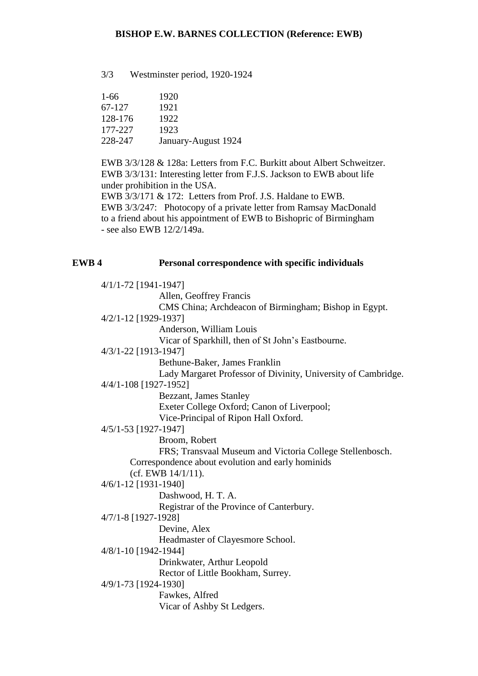3/3 Westminster period, 1920-1924

| $1-66$  | 1920                |
|---------|---------------------|
| 67-127  | 1921                |
| 128-176 | 1922                |
| 177-227 | 1923                |
| 228-247 | January-August 1924 |

EWB 3/3/128 & 128a: Letters from F.C. Burkitt about Albert Schweitzer. EWB 3/3/131: Interesting letter from F.J.S. Jackson to EWB about life under prohibition in the USA.

EWB 3/3/171 & 172: Letters from Prof. J.S. Haldane to EWB. EWB 3/3/247: Photocopy of a private letter from Ramsay MacDonald to a friend about his appointment of EWB to Bishopric of Birmingham - see also EWB 12/2/149a.

# **EWB 4 Personal correspondence with specific individuals**

4/1/1-72 [1941-1947] Allen, Geoffrey Francis CMS China; Archdeacon of Birmingham; Bishop in Egypt. 4/2/1-12 [1929-1937] Anderson, William Louis Vicar of Sparkhill, then of St John's Eastbourne. 4/3/1-22 [1913-1947] Bethune-Baker, James Franklin Lady Margaret Professor of Divinity, University of Cambridge. 4/4/1-108 [1927-1952] Bezzant, James Stanley Exeter College Oxford; Canon of Liverpool; Vice-Principal of Ripon Hall Oxford. 4/5/1-53 [1927-1947] Broom, Robert FRS; Transvaal Museum and Victoria College Stellenbosch. Correspondence about evolution and early hominids (cf. EWB 14/1/11). 4/6/1-12 [1931-1940] Dashwood, H. T. A. Registrar of the Province of Canterbury. 4/7/1-8 [1927-1928] Devine, Alex Headmaster of Clayesmore School. 4/8/1-10 [1942-1944] Drinkwater, Arthur Leopold Rector of Little Bookham, Surrey. 4/9/1-73 [1924-1930] Fawkes, Alfred Vicar of Ashby St Ledgers.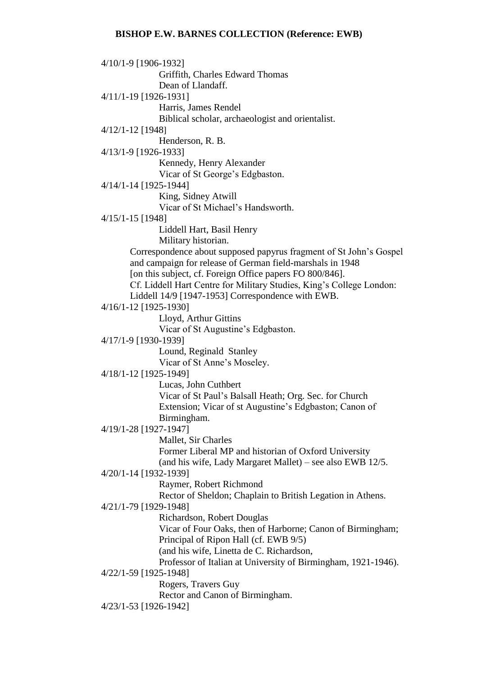4/10/1-9 [1906-1932] Griffith, Charles Edward Thomas Dean of Llandaff. 4/11/1-19 [1926-1931] Harris, James Rendel Biblical scholar, archaeologist and orientalist. 4/12/1-12 [1948] Henderson, R. B. 4/13/1-9 [1926-1933] Kennedy, Henry Alexander Vicar of St George's Edgbaston. 4/14/1-14 [1925-1944] King, Sidney Atwill Vicar of St Michael's Handsworth. 4/15/1-15 [1948] Liddell Hart, Basil Henry Military historian. Correspondence about supposed papyrus fragment of St John's Gospel and campaign for release of German field-marshals in 1948 [on this subject, cf. Foreign Office papers FO 800/846]. Cf. Liddell Hart Centre for Military Studies, King's College London: Liddell 14/9 [1947-1953] Correspondence with EWB. 4/16/1-12 [1925-1930] Lloyd, Arthur Gittins Vicar of St Augustine's Edgbaston. 4/17/1-9 [1930-1939] Lound, Reginald Stanley Vicar of St Anne's Moseley. 4/18/1-12 [1925-1949] Lucas, John Cuthbert Vicar of St Paul's Balsall Heath; Org. Sec. for Church Extension; Vicar of st Augustine's Edgbaston; Canon of Birmingham. 4/19/1-28 [1927-1947] Mallet, Sir Charles Former Liberal MP and historian of Oxford University (and his wife, Lady Margaret Mallet) – see also EWB 12/5. 4/20/1-14 [1932-1939] Raymer, Robert Richmond Rector of Sheldon; Chaplain to British Legation in Athens. 4/21/1-79 [1929-1948] Richardson, Robert Douglas Vicar of Four Oaks, then of Harborne; Canon of Birmingham; Principal of Ripon Hall (cf. EWB 9/5) (and his wife, Linetta de C. Richardson, Professor of Italian at University of Birmingham, 1921-1946). 4/22/1-59 [1925-1948] Rogers, Travers Guy Rector and Canon of Birmingham. 4/23/1-53 [1926-1942]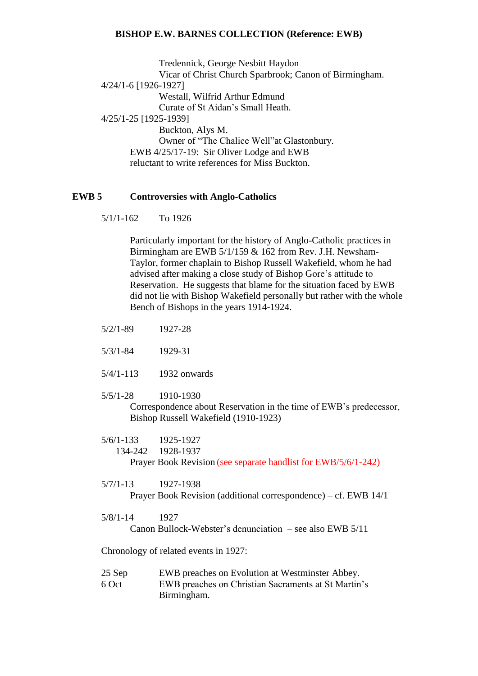Tredennick, George Nesbitt Haydon Vicar of Christ Church Sparbrook; Canon of Birmingham. 4/24/1-6 [1926-1927] Westall, Wilfrid Arthur Edmund Curate of St Aidan's Small Heath. 4/25/1-25 [1925-1939] Buckton, Alys M. Owner of "The Chalice Well"at Glastonbury. EWB 4/25/17-19: Sir Oliver Lodge and EWB reluctant to write references for Miss Buckton.

# **EWB 5 Controversies with Anglo-Catholics**

5/1/1-162 To 1926

Particularly important for the history of Anglo-Catholic practices in Birmingham are EWB 5/1/159 & 162 from Rev. J.H. Newsham-Taylor, former chaplain to Bishop Russell Wakefield, whom he had advised after making a close study of Bishop Gore's attitude to Reservation. He suggests that blame for the situation faced by EWB did not lie with Bishop Wakefield personally but rather with the whole Bench of Bishops in the years 1914-1924.

- 5/2/1-89 1927-28
- 5/3/1-84 1929-31
- 5/4/1-113 1932 onwards
- 5/5/1-28 1910-1930

Correspondence about Reservation in the time of EWB's predecessor, Bishop Russell Wakefield (1910-1923)

5/6/1-133 1925-1927 134-242 1928-1937 Prayer Book Revision (see separate handlist for EWB/5/6/1-242)

5/7/1-13 1927-1938 Prayer Book Revision (additional correspondence) – cf. EWB 14/1

5/8/1-14 1927 Canon Bullock-Webster's denunciation – see also EWB 5/11

Chronology of related events in 1927:

25 Sep EWB preaches on Evolution at Westminster Abbey. 6 Oct EWB preaches on Christian Sacraments at St Martin's Birmingham.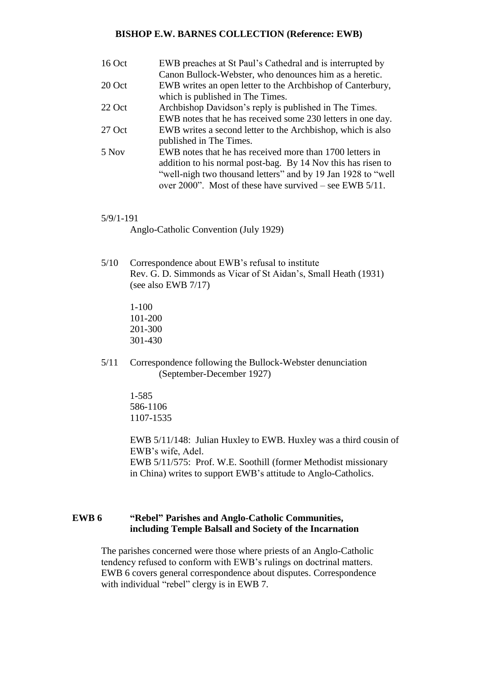| 16 Oct | EWB preaches at St Paul's Cathedral and is interrupted by     |
|--------|---------------------------------------------------------------|
|        | Canon Bullock-Webster, who denounces him as a heretic.        |
| 20 Oct | EWB writes an open letter to the Archbishop of Canterbury,    |
|        | which is published in The Times.                              |
| 22 Oct | Archbishop Davidson's reply is published in The Times.        |
|        | EWB notes that he has received some 230 letters in one day.   |
| 27 Oct | EWB writes a second letter to the Archbishop, which is also   |
|        | published in The Times.                                       |
| 5 Nov  | EWB notes that he has received more than 1700 letters in      |
|        | addition to his normal post-bag. By 14 Nov this has risen to  |
|        | "well-nigh two thousand letters" and by 19 Jan 1928 to "well" |
|        | over 2000". Most of these have survived – see EWB $5/11$ .    |

#### 5/9/1-191

Anglo-Catholic Convention (July 1929)

5/10 Correspondence about EWB's refusal to institute Rev. G. D. Simmonds as Vicar of St Aidan's, Small Heath (1931) (see also EWB 7/17)

> 1-100 101-200 201-300 301-430

5/11 Correspondence following the Bullock-Webster denunciation (September-December 1927)

> 1-585 586-1106 1107-1535

EWB 5/11/148: Julian Huxley to EWB. Huxley was a third cousin of EWB's wife, Adel. EWB 5/11/575: Prof. W.E. Soothill (former Methodist missionary in China) writes to support EWB's attitude to Anglo-Catholics.

## **EWB 6 "Rebel" Parishes and Anglo-Catholic Communities, including Temple Balsall and Society of the Incarnation**

The parishes concerned were those where priests of an Anglo-Catholic tendency refused to conform with EWB's rulings on doctrinal matters. EWB 6 covers general correspondence about disputes. Correspondence with individual "rebel" clergy is in EWB 7.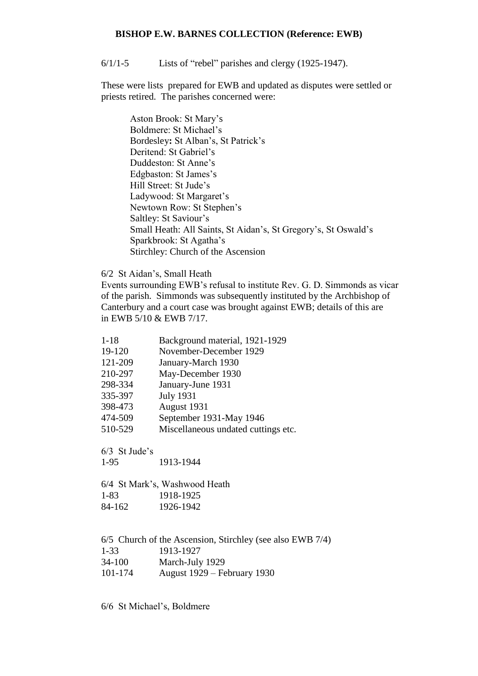6/1/1-5 Lists of "rebel" parishes and clergy (1925-1947).

These were lists prepared for EWB and updated as disputes were settled or priests retired. The parishes concerned were:

Aston Brook: St Mary's Boldmere: St Michael's Bordesley**:** St Alban's, St Patrick's Deritend: St Gabriel's Duddeston: St Anne's Edgbaston: St James's Hill Street: St Jude's Ladywood: St Margaret's Newtown Row: St Stephen's Saltley: St Saviour's Small Heath: All Saints, St Aidan's, St Gregory's, St Oswald's Sparkbrook: St Agatha's Stirchley: Church of the Ascension

6/2 St Aidan's, Small Heath

Events surrounding EWB's refusal to institute Rev. G. D. Simmonds as vicar of the parish. Simmonds was subsequently instituted by the Archbishop of Canterbury and a court case was brought against EWB; details of this are in EWB 5/10 & EWB 7/17.

1-18 Background material, 1921-1929 19-120 November-December 1929 121-209 January-March 1930 210-297 May-December 1930 298-334 January-June 1931 335-397 July 1931 398-473 August 1931 474-509 September 1931-May 1946 510-529 Miscellaneous undated cuttings etc.

6/3 St Jude's 1-95 1913-1944

6/4 St Mark's, Washwood Heath 1-83 1918-1925 84-162 1926-1942

6/5 Church of the Ascension, Stirchley (see also EWB 7/4) 1-33 1913-1927 34-100 March-July 1929 101-174 August 1929 – February 1930

6/6 St Michael's, Boldmere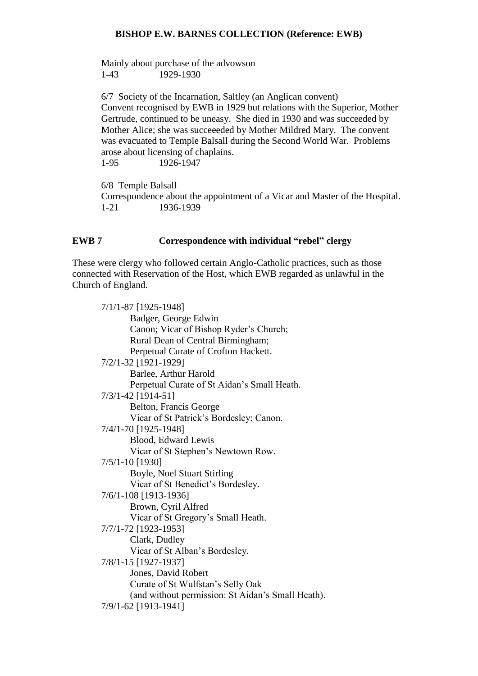Mainly about purchase of the advowson 1-43 1929-1930

6/7 Society of the Incarnation, Saltley (an Anglican convent) Convent recognised by EWB in 1929 but relations with the Superior, Mother Gertrude, continued to be uneasy. She died in 1930 and was succeeded by Mother Alice; she was succeeeded by Mother Mildred Mary. The convent was evacuated to Temple Balsall during the Second World War. Problems arose about licensing of chaplains. 1-95 1926-1947

6/8 Temple Balsall Correspondence about the appointment of a Vicar and Master of the Hospital. 1-21 1936-1939

# **EWB 7 Correspondence with individual "rebel" clergy**

These were clergy who followed certain Anglo-Catholic practices, such as those connected with Reservation of the Host, which EWB regarded as unlawful in the Church of England.

| 7/1/1-87 [1925-1948]                              |
|---------------------------------------------------|
| Badger, George Edwin                              |
| Canon; Vicar of Bishop Ryder's Church;            |
| Rural Dean of Central Birmingham;                 |
| Perpetual Curate of Crofton Hackett.              |
| 7/2/1-32 [1921-1929]                              |
| Barlee, Arthur Harold                             |
| Perpetual Curate of St Aidan's Small Heath.       |
| 7/3/1-42 [1914-51]                                |
| Belton, Francis George                            |
| Vicar of St Patrick's Bordesley; Canon.           |
| 7/4/1-70 [1925-1948]                              |
| Blood, Edward Lewis                               |
| Vicar of St Stephen's Newtown Row.                |
| 7/5/1-10 [1930]                                   |
| Boyle, Noel Stuart Stirling                       |
| Vicar of St Benedict's Bordesley.                 |
| 7/6/1-108 [1913-1936]                             |
| Brown, Cyril Alfred                               |
| Vicar of St Gregory's Small Heath.                |
| 7/7/1-72 [1923-1953]                              |
| Clark, Dudley                                     |
| Vicar of St Alban's Bordesley.                    |
| 7/8/1-15 [1927-1937]                              |
| Jones, David Robert                               |
| Curate of St Wulfstan's Selly Oak                 |
| (and without permission: St Aidan's Small Heath). |
| 7/9/1-62 [1913-1941]                              |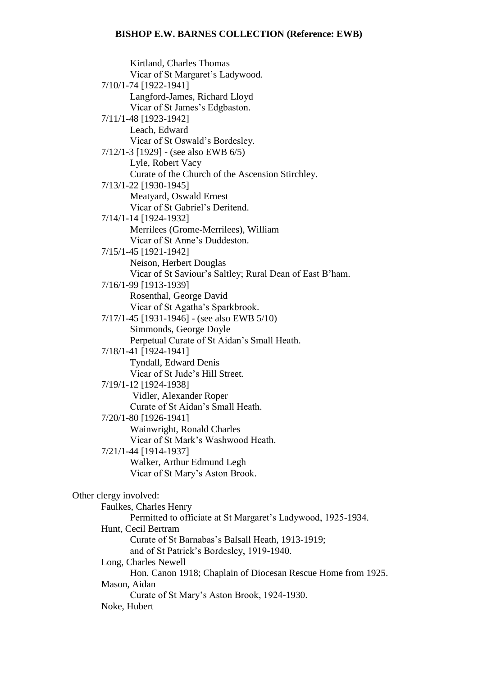Kirtland, Charles Thomas Vicar of St Margaret's Ladywood. 7/10/1-74 [1922-1941] Langford-James, Richard Lloyd Vicar of St James's Edgbaston. 7/11/1-48 [1923-1942] Leach, Edward Vicar of St Oswald's Bordesley. 7/12/1-3 [1929] - (see also EWB 6/5) Lyle, Robert Vacy Curate of the Church of the Ascension Stirchley. 7/13/1-22 [1930-1945] Meatyard, Oswald Ernest Vicar of St Gabriel's Deritend. 7/14/1-14 [1924-1932] Merrilees (Grome-Merrilees), William Vicar of St Anne's Duddeston. 7/15/1-45 [1921-1942] Neison, Herbert Douglas Vicar of St Saviour's Saltley; Rural Dean of East B'ham. 7/16/1-99 [1913-1939] Rosenthal, George David Vicar of St Agatha's Sparkbrook. 7/17/1-45 [1931-1946] - (see also EWB 5/10) Simmonds, George Doyle Perpetual Curate of St Aidan's Small Heath. 7/18/1-41 [1924-1941] Tyndall, Edward Denis Vicar of St Jude's Hill Street. 7/19/1-12 [1924-1938] Vidler, Alexander Roper Curate of St Aidan's Small Heath. 7/20/1-80 [1926-1941] Wainwright, Ronald Charles Vicar of St Mark's Washwood Heath. 7/21/1-44 [1914-1937] Walker, Arthur Edmund Legh Vicar of St Mary's Aston Brook. Other clergy involved: Faulkes, Charles Henry Permitted to officiate at St Margaret's Ladywood, 1925-1934. Hunt, Cecil Bertram Curate of St Barnabas's Balsall Heath, 1913-1919; and of St Patrick's Bordesley, 1919-1940. Long, Charles Newell Hon. Canon 1918; Chaplain of Diocesan Rescue Home from 1925. Mason, Aidan Curate of St Mary's Aston Brook, 1924-1930. Noke, Hubert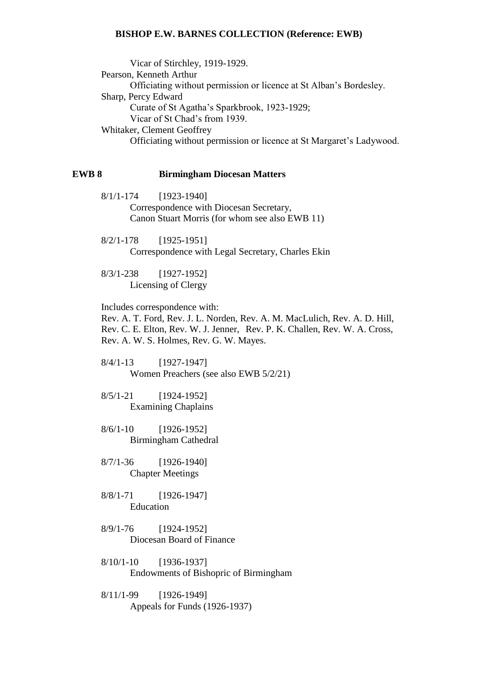Vicar of Stirchley, 1919-1929. Pearson, Kenneth Arthur Officiating without permission or licence at St Alban's Bordesley. Sharp, Percy Edward Curate of St Agatha's Sparkbrook, 1923-1929; Vicar of St Chad's from 1939. Whitaker, Clement Geoffrey Officiating without permission or licence at St Margaret's Ladywood.

### **EWB 8 Birmingham Diocesan Matters**

8/1/1-174 [1923-1940] Correspondence with Diocesan Secretary, Canon Stuart Morris (for whom see also EWB 11)

8/2/1-178 [1925-1951] Correspondence with Legal Secretary, Charles Ekin

8/3/1-238 [1927-1952] Licensing of Clergy

Includes correspondence with:

Rev. A. T. Ford, Rev. J. L. Norden, Rev. A. M. MacLulich, Rev. A. D. Hill, Rev. C. E. Elton, Rev. W. J. Jenner, Rev. P. K. Challen, Rev. W. A. Cross, Rev. A. W. S. Holmes, Rev. G. W. Mayes.

8/4/1-13 [1927-1947] Women Preachers (see also EWB 5/2/21)

8/5/1-21 [1924-1952] Examining Chaplains

8/6/1-10 [1926-1952] Birmingham Cathedral

8/7/1-36 [1926-1940] Chapter Meetings

- 8/8/1-71 [1926-1947] Education
- 8/9/1-76 [1924-1952] Diocesan Board of Finance

8/10/1-10 [1936-1937] Endowments of Bishopric of Birmingham

8/11/1-99 [1926-1949] Appeals for Funds (1926-1937)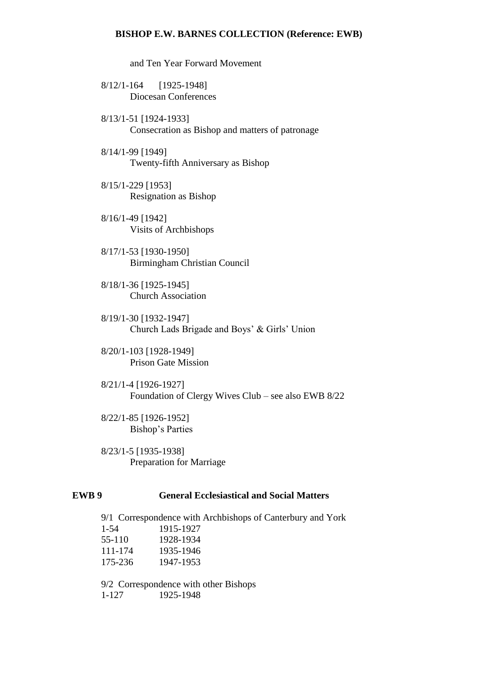and Ten Year Forward Movement

- 8/12/1-164 [1925-1948] Diocesan Conferences
- 8/13/1-51 [1924-1933] Consecration as Bishop and matters of patronage
- 8/14/1-99 [1949] Twenty-fifth Anniversary as Bishop
- 8/15/1-229 [1953] Resignation as Bishop
- 8/16/1-49 [1942] Visits of Archbishops
- 8/17/1-53 [1930-1950] Birmingham Christian Council
- 8/18/1-36 [1925-1945] Church Association
- 8/19/1-30 [1932-1947] Church Lads Brigade and Boys' & Girls' Union
- 8/20/1-103 [1928-1949] Prison Gate Mission
- 8/21/1-4 [1926-1927] Foundation of Clergy Wives Club – see also EWB 8/22
- 8/22/1-85 [1926-1952] Bishop's Parties
- 8/23/1-5 [1935-1938] Preparation for Marriage

# **EWB 9 General Ecclesiastical and Social Matters**

9/1 Correspondence with Archbishops of Canterbury and York 1-54 1915-1927 55-110 1928-1934 111-174 1935-1946 175-236 1947-1953 9/2 Correspondence with other Bishops

1-127 1925-1948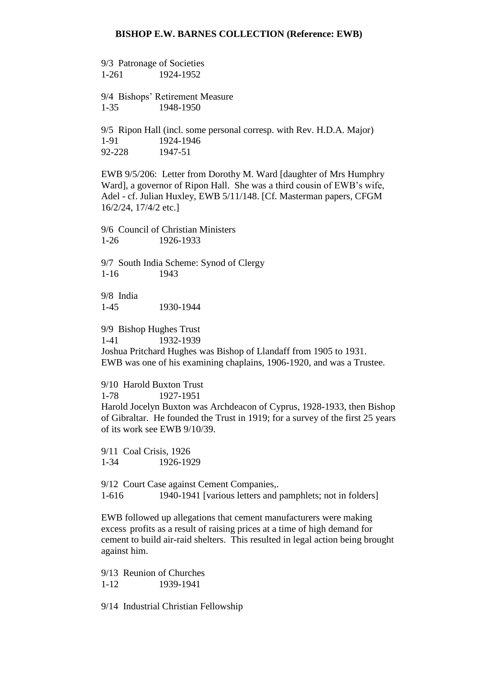9/3 Patronage of Societies 1-261 1924-1952

9/4 Bishops' Retirement Measure 1-35 1948-1950

9/5 Ripon Hall (incl. some personal corresp. with Rev. H.D.A. Major) 1-91 1924-1946 92-228 1947-51

EWB 9/5/206: Letter from Dorothy M. Ward [daughter of Mrs Humphry Ward], a governor of Ripon Hall. She was a third cousin of EWB's wife, Adel - cf. Julian Huxley, EWB 5/11/148. [Cf. Masterman papers, CFGM 16/2/24, 17/4/2 etc.]

9/6 Council of Christian Ministers 1-26 1926-1933

9/7 South India Scheme: Synod of Clergy 1-16 1943

9/8 India 1-45 1930-1944

9/9 Bishop Hughes Trust 1-41 1932-1939

Joshua Pritchard Hughes was Bishop of Llandaff from 1905 to 1931. EWB was one of his examining chaplains, 1906-1920, and was a Trustee.

9/10 Harold Buxton Trust 1-78 1927-1951

Harold Jocelyn Buxton was Archdeacon of Cyprus, 1928-1933, then Bishop of Gibraltar. He founded the Trust in 1919; for a survey of the first 25 years of its work see EWB 9/10/39.

9/11 Coal Crisis, 1926 1-34 1926-1929

9/12 Court Case against Cement Companies,. 1-616 1940-1941 [various letters and pamphlets; not in folders]

EWB followed up allegations that cement manufacturers were making excess profits as a result of raising prices at a time of high demand for cement to build air-raid shelters. This resulted in legal action being brought against him.

9/13 Reunion of Churches 1-12 1939-1941

9/14 Industrial Christian Fellowship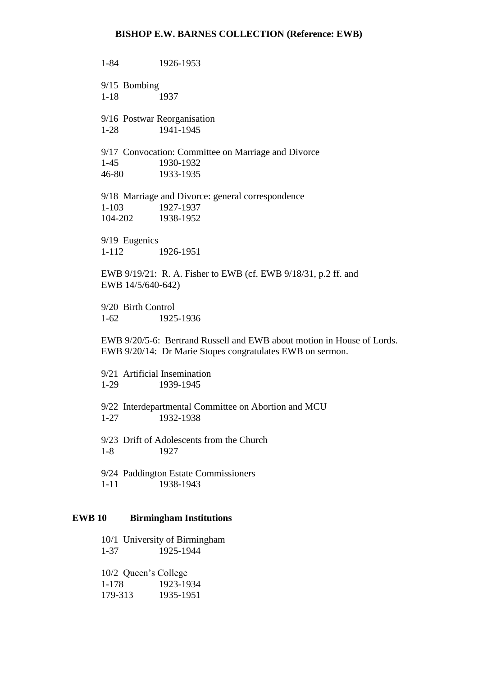1-84 1926-1953 9/15 Bombing 1-18 1937 9/16 Postwar Reorganisation 1-28 1941-1945 9/17 Convocation: Committee on Marriage and Divorce 1-45 1930-1932 46-80 1933-1935 9/18 Marriage and Divorce: general correspondence 1-103 1927-1937 104-202 1938-1952 9/19 Eugenics 1-112 1926-1951 EWB 9/19/21: R. A. Fisher to EWB (cf. EWB 9/18/31, p.2 ff. and EWB 14/5/640-642) 9/20 Birth Control 1-62 1925-1936 EWB 9/20/5-6: Bertrand Russell and EWB about motion in House of Lords. EWB 9/20/14: Dr Marie Stopes congratulates EWB on sermon.  $9/21$  Artificial Insemination<br>1-29 1939-1945 1939-1945 9/22 Interdepartmental Committee on Abortion and MCU 1-27 1932-1938 9/23 Drift of Adolescents from the Church 1-8 1927 9/24 Paddington Estate Commissioners 1-11 1938-1943

#### **EWB 10 Birmingham Institutions**

10/1 University of Birmingham 1-37 1925-1944

10/2 Queen's College 1-178 1923-1934 179-313 1935-1951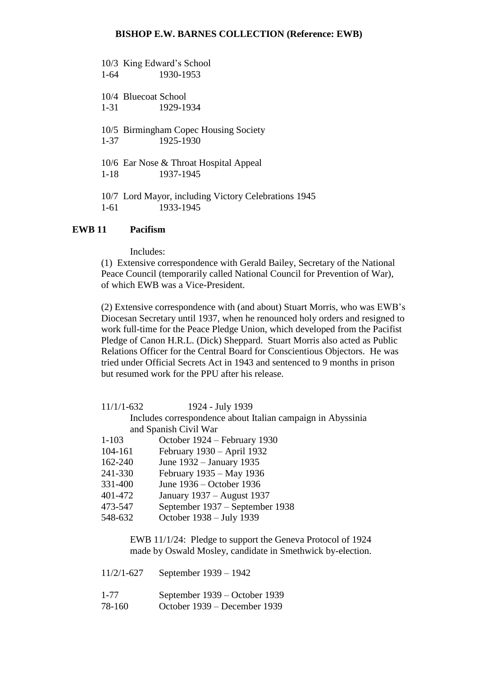10/3 King Edward's School 1-64 1930-1953 10/4 Bluecoat School 1-31 1929-1934 10/5 Birmingham Copec Housing Society 1-37 1925-1930 10/6 Ear Nose & Throat Hospital Appeal 1-18 1937-1945 10/7 Lord Mayor, including Victory Celebrations 1945 1-61 1933-1945

# **EWB 11 Pacifism**

Includes:

(1) Extensive correspondence with Gerald Bailey, Secretary of the National Peace Council (temporarily called National Council for Prevention of War), of which EWB was a Vice-President.

(2) Extensive correspondence with (and about) Stuart Morris, who was EWB's Diocesan Secretary until 1937, when he renounced holy orders and resigned to work full-time for the Peace Pledge Union, which developed from the Pacifist Pledge of Canon H.R.L. (Dick) Sheppard. Stuart Morris also acted as Public Relations Officer for the Central Board for Conscientious Objectors. He was tried under Official Secrets Act in 1943 and sentenced to 9 months in prison but resumed work for the PPU after his release.

| $11/1/1-632$ | 1924 - July 1939                                            |
|--------------|-------------------------------------------------------------|
|              | Includes correspondence about Italian campaign in Abyssinia |
|              | and Spanish Civil War                                       |
| $1-103$      | October 1924 – February 1930                                |
| 104-161      | February 1930 - April 1932                                  |
| 162-240      | June 1932 – January 1935                                    |
| 241-330      | February 1935 – May 1936                                    |
| 331-400      | June 1936 – October 1936                                    |
| 401-472      | January 1937 – August 1937                                  |
| 473-547      | September 1937 – September 1938                             |
| 548-632      | October 1938 – July 1939                                    |
|              |                                                             |

EWB 11/1/24: Pledge to support the Geneva Protocol of 1924 made by Oswald Mosley, candidate in Smethwick by-election.

| $11/2/1 - 627$ | September 1939 – 1942         |
|----------------|-------------------------------|
| $1 - 77$       | September 1939 – October 1939 |
| 78-160         | October 1939 – December 1939  |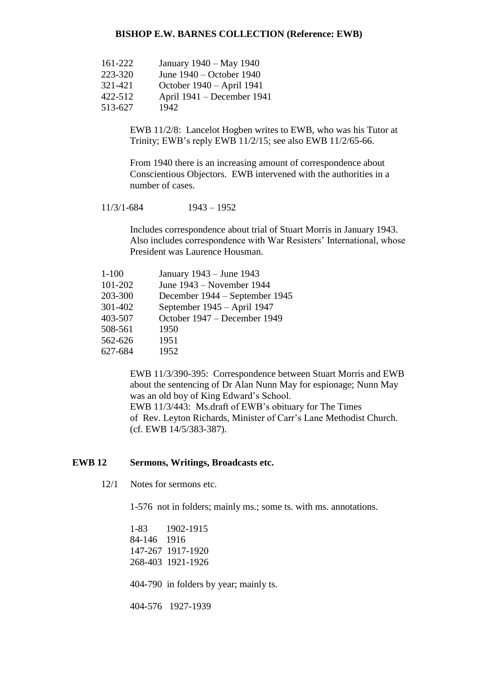| 161-222 | January 1940 – May 1940    |
|---------|----------------------------|
| 223-320 | June 1940 – October 1940   |
| 321-421 | October 1940 – April 1941  |
| 422-512 | April 1941 – December 1941 |
| 513-627 | 1942                       |

EWB 11/2/8: Lancelot Hogben writes to EWB, who was his Tutor at Trinity; EWB's reply EWB 11/2/15; see also EWB 11/2/65-66.

From 1940 there is an increasing amount of correspondence about Conscientious Objectors. EWB intervened with the authorities in a number of cases.

11/3/1-684 1943 – 1952

Includes correspondence about trial of Stuart Morris in January 1943. Also includes correspondence with War Resisters' International, whose President was Laurence Housman.

| $1 - 100$ | January 1943 – June 1943       |
|-----------|--------------------------------|
| 101-202   | June 1943 – November 1944      |
| 203-300   | December 1944 – September 1945 |
| 301-402   | September 1945 - April 1947    |
| 403-507   | October 1947 – December 1949   |
| 508-561   | 1950                           |
| 562-626   | 1951                           |
| 627-684   | 1952                           |

EWB 11/3/390-395: Correspondence between Stuart Morris and EWB about the sentencing of Dr Alan Nunn May for espionage; Nunn May was an old boy of King Edward's School.

EWB 11/3/443: Ms.draft of EWB's obituary for The Times of Rev. Leyton Richards, Minister of Carr's Lane Methodist Church. (cf. EWB 14/5/383-387).

# **EWB 12 Sermons, Writings, Broadcasts etc.**

12/1 Notes for sermons etc.

1-576 not in folders; mainly ms.; some ts. with ms. annotations.

1-83 1902-1915 84-146 1916 147-267 1917-1920 268-403 1921-1926

404-790 in folders by year; mainly ts.

404-576 1927-1939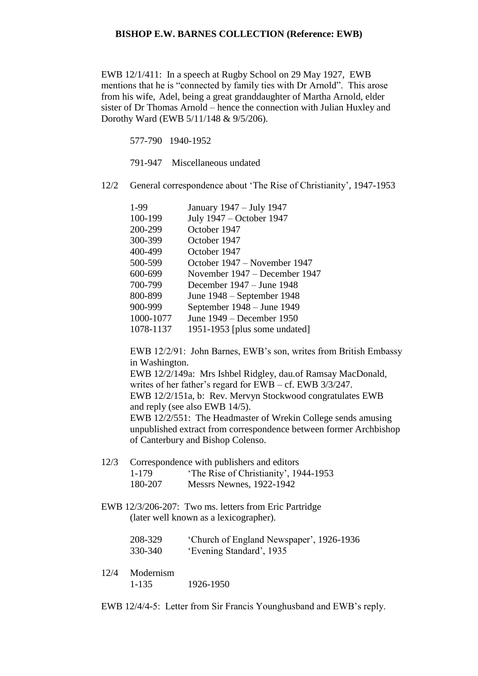EWB 12/1/411: In a speech at Rugby School on 29 May 1927, EWB mentions that he is "connected by family ties with Dr Arnold". This arose from his wife, Adel, being a great granddaughter of Martha Arnold, elder sister of Dr Thomas Arnold – hence the connection with Julian Huxley and Dorothy Ward (EWB 5/11/148 & 9/5/206).

577-790 1940-1952

791-947 Miscellaneous undated

12/2 General correspondence about 'The Rise of Christianity', 1947-1953

| 1-99      | January 1947 - July 1947      |
|-----------|-------------------------------|
| 100-199   | July 1947 – October 1947      |
| 200-299   | October 1947                  |
| 300-399   | October 1947                  |
| 400-499   | October 1947                  |
| 500-599   | October 1947 – November 1947  |
| 600-699   | November 1947 – December 1947 |
| 700-799   | December 1947 – June 1948     |
| 800-899   | June 1948 – September 1948    |
| 900-999   | September 1948 – June 1949    |
| 1000-1077 | June 1949 – December 1950     |
| 1078-1137 | 1951-1953 [plus some undated] |
|           |                               |

EWB 12/2/91: John Barnes, EWB's son, writes from British Embassy in Washington.

EWB 12/2/149a: Mrs Ishbel Ridgley, dau.of Ramsay MacDonald, writes of her father's regard for EWB – cf. EWB 3/3/247. EWB 12/2/151a, b: Rev. Mervyn Stockwood congratulates EWB and reply (see also EWB 14/5). EWB 12/2/551: The Headmaster of Wrekin College sends amusing unpublished extract from correspondence between former Archbishop of Canterbury and Bishop Colenso.

- 12/3 Correspondence with publishers and editors 1-179 'The Rise of Christianity', 1944-1953 180-207 Messrs Newnes, 1922-1942
- EWB 12/3/206-207: Two ms. letters from Eric Partridge (later well known as a lexicographer).

| 208-329 | 'Church of England Newspaper', 1926-1936 |
|---------|------------------------------------------|
| 330-340 | 'Evening Standard', 1935                 |

12/4 Modernism 1-135 1926-1950

EWB 12/4/4-5: Letter from Sir Francis Younghusband and EWB's reply.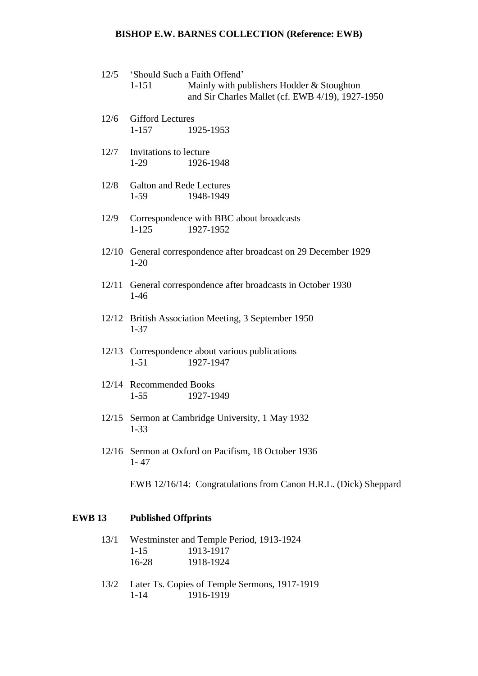- 12/5 'Should Such a Faith Offend' 1-151 Mainly with publishers Hodder & Stoughton
	- and Sir Charles Mallet (cf. EWB 4/19), 1927-1950
- 12/6 Gifford Lectures 1-157 1925-1953
- 12/7 Invitations to lecture 1-29 1926-1948
- 12/8 Galton and Rede Lectures 1-59 1948-1949
- 12/9 Correspondence with BBC about broadcasts 1-125 1927-1952
- 12/10 General correspondence after broadcast on 29 December 1929 1-20
- 12/11 General correspondence after broadcasts in October 1930 1-46
- 12/12 British Association Meeting, 3 September 1950 1-37
- 12/13 Correspondence about various publications 1-51 1927-1947
- 12/14 Recommended Books 1-55 1927-1949
- 12/15 Sermon at Cambridge University, 1 May 1932 1-33
- 12/16 Sermon at Oxford on Pacifism, 18 October 1936 1- 47
	- EWB 12/16/14: Congratulations from Canon H.R.L. (Dick) Sheppard

# **EWB 13 Published Offprints**

- 13/1 Westminster and Temple Period, 1913-1924 1-15 1913-1917 16-28 1918-1924
- 13/2 Later Ts. Copies of Temple Sermons, 1917-1919 1-14 1916-1919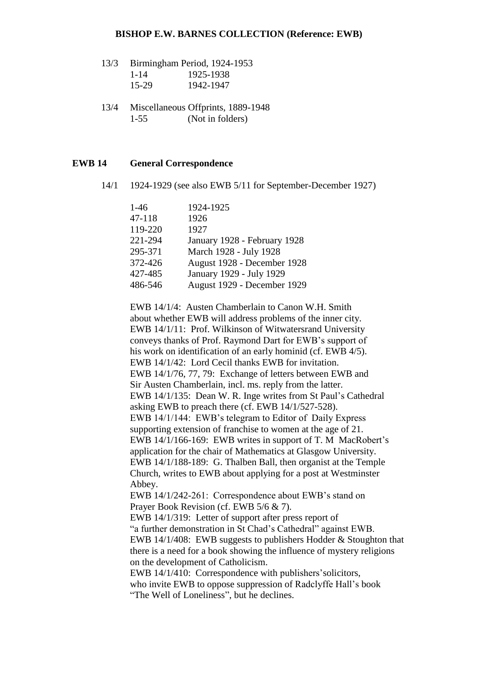- 13/3 Birmingham Period, 1924-1953 1-14 1925-1938 15-29 1942-1947
- 13/4 Miscellaneous Offprints, 1889-1948 1-55 (Not in folders)

## **EWB 14 General Correspondence**

14/1 1924-1929 (see also EWB 5/11 for September-December 1927)

| $1-46$  | 1924-1925                    |
|---------|------------------------------|
| 47-118  | 1926                         |
| 119-220 | 1927                         |
| 221-294 | January 1928 - February 1928 |
| 295-371 | March 1928 - July 1928       |
| 372-426 | August 1928 - December 1928  |
| 427-485 | January 1929 - July 1929     |
| 486-546 | August 1929 - December 1929  |

EWB 14/1/4: Austen Chamberlain to Canon W.H. Smith about whether EWB will address problems of the inner city. EWB 14/1/11: Prof. Wilkinson of Witwatersrand University conveys thanks of Prof. Raymond Dart for EWB's support of his work on identification of an early hominid (cf. EWB 4/5). EWB 14/1/42: Lord Cecil thanks EWB for invitation. EWB 14/1/76, 77, 79: Exchange of letters between EWB and Sir Austen Chamberlain, incl. ms. reply from the latter. EWB 14/1/135: Dean W. R. Inge writes from St Paul's Cathedral asking EWB to preach there (cf. EWB 14/1/527-528). EWB 14/1/144: EWB's telegram to Editor of Daily Express supporting extension of franchise to women at the age of 21. EWB 14/1/166-169: EWB writes in support of T. M MacRobert's application for the chair of Mathematics at Glasgow University. EWB 14/1/188-189: G. Thalben Ball, then organist at the Temple Church, writes to EWB about applying for a post at Westminster Abbey. EWB 14/1/242-261: Correspondence about EWB's stand on Prayer Book Revision (cf. EWB 5/6 & 7). EWB 14/1/319: Letter of support after press report of

"a further demonstration in St Chad's Cathedral" against EWB. EWB 14/1/408: EWB suggests to publishers Hodder & Stoughton that there is a need for a book showing the influence of mystery religions on the development of Catholicism.

EWB 14/1/410: Correspondence with publishers'solicitors, who invite EWB to oppose suppression of Radclyffe Hall's book "The Well of Loneliness", but he declines.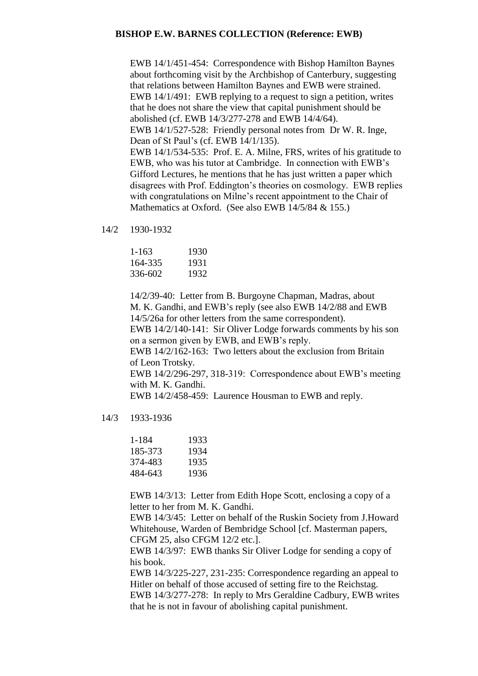EWB 14/1/451-454: Correspondence with Bishop Hamilton Baynes about forthcoming visit by the Archbishop of Canterbury, suggesting that relations between Hamilton Baynes and EWB were strained. EWB 14/1/491: EWB replying to a request to sign a petition, writes that he does not share the view that capital punishment should be abolished (cf. EWB 14/3/277-278 and EWB 14/4/64). EWB 14/1/527-528: Friendly personal notes from Dr W. R. Inge, Dean of St Paul's (cf. EWB 14/1/135). EWB 14/1/534-535: Prof. E. A. Milne, FRS, writes of his gratitude to EWB, who was his tutor at Cambridge. In connection with EWB's Gifford Lectures, he mentions that he has just written a paper which disagrees with Prof. Eddington's theories on cosmology. EWB replies with congratulations on Milne's recent appointment to the Chair of Mathematics at Oxford. (See also EWB 14/5/84 & 155.)

14/2 1930-1932

| 1-163   | 1930 |
|---------|------|
| 164-335 | 1931 |
| 336-602 | 1932 |

14/2/39-40: Letter from B. Burgoyne Chapman, Madras, about M. K. Gandhi, and EWB's reply (see also EWB 14/2/88 and EWB 14/5/26a for other letters from the same correspondent).

EWB 14/2/140-141: Sir Oliver Lodge forwards comments by his son on a sermon given by EWB, and EWB's reply.

EWB 14/2/162-163: Two letters about the exclusion from Britain of Leon Trotsky.

EWB 14/2/296-297, 318-319: Correspondence about EWB's meeting with M. K. Gandhi.

EWB 14/2/458-459: Laurence Housman to EWB and reply.

14/3 1933-1936

| 1-184   | 1933 |
|---------|------|
| 185-373 | 1934 |
| 374-483 | 1935 |
| 484-643 | 1936 |

EWB 14/3/13: Letter from Edith Hope Scott, enclosing a copy of a letter to her from M. K. Gandhi.

EWB 14/3/45: Letter on behalf of the Ruskin Society from J.Howard Whitehouse, Warden of Bembridge School [cf. Masterman papers, CFGM 25, also CFGM 12/2 etc.].

EWB 14/3/97: EWB thanks Sir Oliver Lodge for sending a copy of his book.

EWB 14/3/225-227, 231-235: Correspondence regarding an appeal to Hitler on behalf of those accused of setting fire to the Reichstag. EWB 14/3/277-278: In reply to Mrs Geraldine Cadbury, EWB writes that he is not in favour of abolishing capital punishment.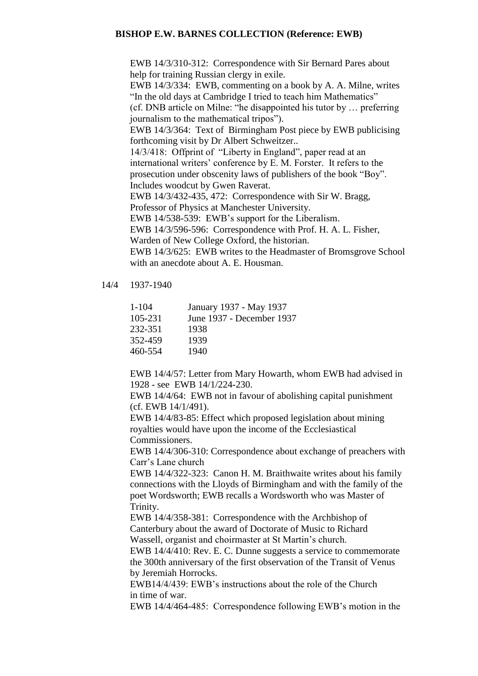EWB 14/3/310-312: Correspondence with Sir Bernard Pares about help for training Russian clergy in exile. EWB 14/3/334: EWB, commenting on a book by A. A. Milne, writes "In the old days at Cambridge I tried to teach him Mathematics" (cf. DNB article on Milne: "he disappointed his tutor by … preferring journalism to the mathematical tripos"). EWB 14/3/364: Text of Birmingham Post piece by EWB publicising forthcoming visit by Dr Albert Schweitzer.. 14/3/418: Offprint of "Liberty in England", paper read at an international writers' conference by E. M. Forster. It refers to the prosecution under obscenity laws of publishers of the book "Boy". Includes woodcut by Gwen Raverat. EWB 14/3/432-435, 472: Correspondence with Sir W. Bragg, Professor of Physics at Manchester University. EWB 14/538-539: EWB's support for the Liberalism. EWB 14/3/596-596: Correspondence with Prof. H. A. L. Fisher, Warden of New College Oxford, the historian. EWB 14/3/625: EWB writes to the Headmaster of Bromsgrove School with an anecdote about A. E. Housman.

14/4 1937-1940

| 1-104   | January 1937 - May 1937   |
|---------|---------------------------|
| 105-231 | June 1937 - December 1937 |
| 232-351 | 1938                      |
| 352-459 | 1939                      |
| 460-554 | 1940                      |
|         |                           |

EWB 14/4/57: Letter from Mary Howarth, whom EWB had advised in 1928 - see EWB 14/1/224-230.

EWB 14/4/64: EWB not in favour of abolishing capital punishment (cf. EWB 14/1/491).

EWB 14/4/83-85: Effect which proposed legislation about mining royalties would have upon the income of the Ecclesiastical Commissioners.

EWB 14/4/306-310: Correspondence about exchange of preachers with Carr's Lane church

EWB 14/4/322-323: Canon H. M. Braithwaite writes about his family connections with the Lloyds of Birmingham and with the family of the poet Wordsworth; EWB recalls a Wordsworth who was Master of Trinity.

EWB 14/4/358-381: Correspondence with the Archbishop of Canterbury about the award of Doctorate of Music to Richard Wassell, organist and choirmaster at St Martin's church.

EWB 14/4/410: Rev. E. C. Dunne suggests a service to commemorate the 300th anniversary of the first observation of the Transit of Venus by Jeremiah Horrocks.

EWB14/4/439: EWB's instructions about the role of the Church in time of war.

EWB 14/4/464-485: Correspondence following EWB's motion in the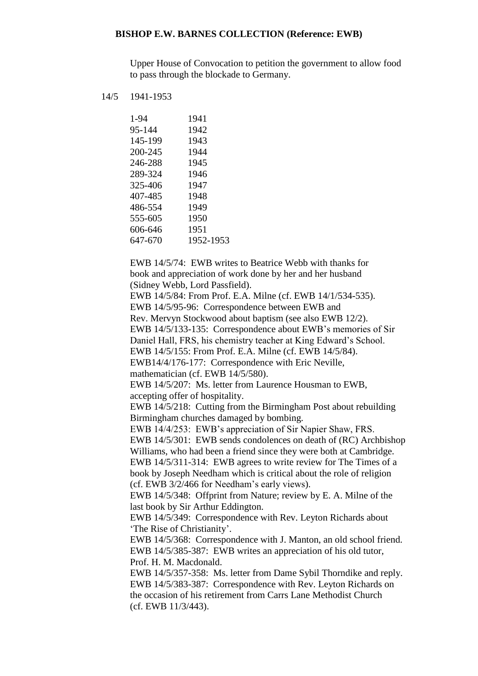Upper House of Convocation to petition the government to allow food to pass through the blockade to Germany.

14/5 1941-1953

| 1-94    | 1941      |
|---------|-----------|
| 95-144  | 1942      |
| 145-199 | 1943      |
| 200-245 | 1944      |
| 246-288 | 1945      |
| 289-324 | 1946      |
| 325-406 | 1947      |
| 407-485 | 1948      |
| 486-554 | 1949      |
| 555-605 | 1950      |
| 606-646 | 1951      |
| 647-670 | 1952-1953 |
|         |           |

EWB 14/5/74: EWB writes to Beatrice Webb with thanks for book and appreciation of work done by her and her husband (Sidney Webb, Lord Passfield).

EWB 14/5/84: From Prof. E.A. Milne (cf. EWB 14/1/534-535). EWB 14/5/95-96: Correspondence between EWB and

Rev. Mervyn Stockwood about baptism (see also EWB 12/2).

EWB 14/5/133-135: Correspondence about EWB's memories of Sir

Daniel Hall, FRS, his chemistry teacher at King Edward's School.

EWB 14/5/155: From Prof. E.A. Milne (cf. EWB 14/5/84).

EWB14/4/176-177: Correspondence with Eric Neville,

mathematician (cf. EWB 14/5/580).

EWB 14/5/207: Ms. letter from Laurence Housman to EWB, accepting offer of hospitality.

EWB 14/5/218: Cutting from the Birmingham Post about rebuilding Birmingham churches damaged by bombing.

EWB 14/4/253: EWB's appreciation of Sir Napier Shaw, FRS.

EWB 14/5/301: EWB sends condolences on death of (RC) Archbishop Williams, who had been a friend since they were both at Cambridge. EWB 14/5/311-314: EWB agrees to write review for The Times of a book by Joseph Needham which is critical about the role of religion (cf. EWB 3/2/466 for Needham's early views).

EWB 14/5/348: Offprint from Nature; review by E. A. Milne of the last book by Sir Arthur Eddington.

EWB 14/5/349: Correspondence with Rev. Leyton Richards about 'The Rise of Christianity'.

EWB 14/5/368: Correspondence with J. Manton, an old school friend. EWB 14/5/385-387: EWB writes an appreciation of his old tutor, Prof. H. M. Macdonald.

EWB 14/5/357-358: Ms. letter from Dame Sybil Thorndike and reply. EWB 14/5/383-387: Correspondence with Rev. Leyton Richards on the occasion of his retirement from Carrs Lane Methodist Church (cf. EWB 11/3/443).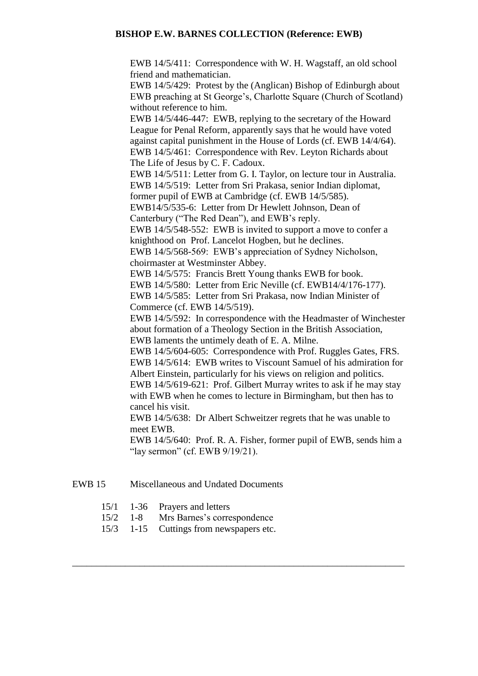EWB 14/5/411: Correspondence with W. H. Wagstaff, an old school friend and mathematician.

EWB 14/5/429: Protest by the (Anglican) Bishop of Edinburgh about EWB preaching at St George's, Charlotte Square (Church of Scotland) without reference to him.

EWB 14/5/446-447: EWB, replying to the secretary of the Howard League for Penal Reform, apparently says that he would have voted against capital punishment in the House of Lords (cf. EWB 14/4/64). EWB 14/5/461: Correspondence with Rev. Leyton Richards about The Life of Jesus by C. F. Cadoux.

EWB 14/5/511: Letter from G. I. Taylor, on lecture tour in Australia. EWB 14/5/519: Letter from Sri Prakasa, senior Indian diplomat,

former pupil of EWB at Cambridge (cf. EWB 14/5/585).

EWB14/5/535-6: Letter from Dr Hewlett Johnson, Dean of Canterbury ("The Red Dean"), and EWB's reply.

EWB 14/5/548-552: EWB is invited to support a move to confer a knighthood on Prof. Lancelot Hogben, but he declines.

EWB 14/5/568-569: EWB's appreciation of Sydney Nicholson, choirmaster at Westminster Abbey.

EWB 14/5/575: Francis Brett Young thanks EWB for book.

EWB 14/5/580: Letter from Eric Neville (cf. EWB14/4/176-177).

EWB 14/5/585: Letter from Sri Prakasa, now Indian Minister of Commerce (cf. EWB 14/5/519).

EWB 14/5/592: In correspondence with the Headmaster of Winchester about formation of a Theology Section in the British Association, EWB laments the untimely death of E. A. Milne.

EWB 14/5/604-605: Correspondence with Prof. Ruggles Gates, FRS. EWB 14/5/614: EWB writes to Viscount Samuel of his admiration for Albert Einstein, particularly for his views on religion and politics. EWB 14/5/619-621: Prof. Gilbert Murray writes to ask if he may stay with EWB when he comes to lecture in Birmingham, but then has to cancel his visit.

EWB 14/5/638: Dr Albert Schweitzer regrets that he was unable to meet EWB.

\_\_\_\_\_\_\_\_\_\_\_\_\_\_\_\_\_\_\_\_\_\_\_\_\_\_\_\_\_\_\_\_\_\_\_\_\_\_\_\_\_\_\_\_\_\_\_\_\_\_\_\_\_\_\_\_\_\_\_\_\_\_\_\_\_\_\_\_\_

EWB 14/5/640: Prof. R. A. Fisher, former pupil of EWB, sends him a "lay sermon" (cf. EWB 9/19/21).

# EWB 15 Miscellaneous and Undated Documents

- 15/1 1-36 Prayers and letters
- 15/2 1-8 Mrs Barnes's correspondence
- 15/3 1-15 Cuttings from newspapers etc.